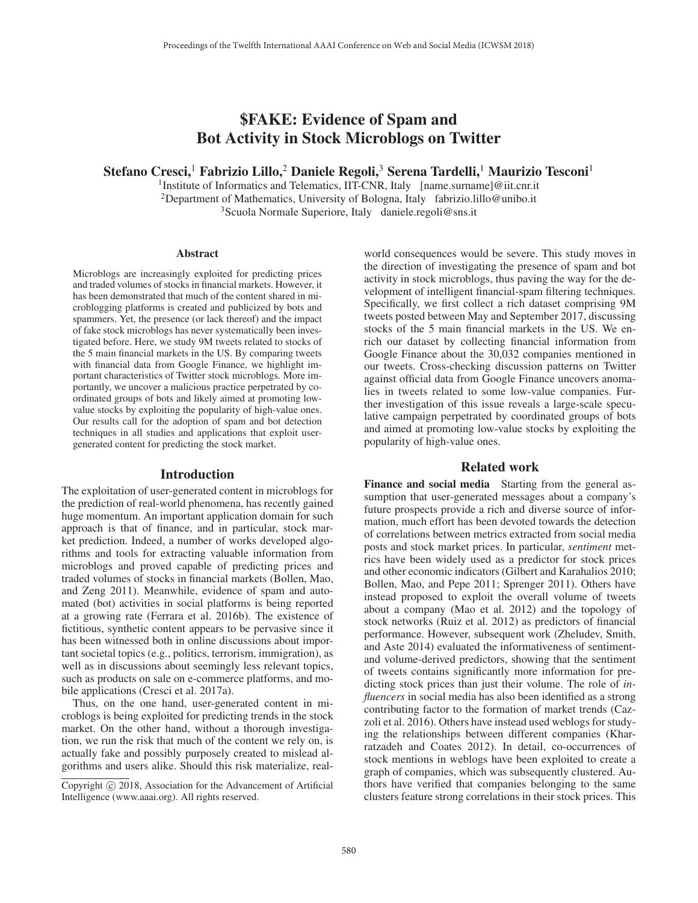# \$FAKE: Evidence of Spam and Bot Activity in Stock Microblogs on Twitter

Stefano Cresci,<sup>1</sup> Fabrizio Lillo,<sup>2</sup> Daniele Regoli,<sup>3</sup> Serena Tardelli,<sup>1</sup> Maurizio Tesconi<sup>1</sup>

<sup>1</sup>Institute of Informatics and Telematics, IIT-CNR, Italy [name.surname]@iit.cnr.it <sup>2</sup>Department of Mathematics, University of Bologna, Italy fabrizio.lillo@unibo.it 3Scuola Normale Superiore, Italy daniele.regoli@sns.it

#### Abstract

Microblogs are increasingly exploited for predicting prices and traded volumes of stocks in financial markets. However, it has been demonstrated that much of the content shared in microblogging platforms is created and publicized by bots and spammers. Yet, the presence (or lack thereof) and the impact of fake stock microblogs has never systematically been investigated before. Here, we study 9M tweets related to stocks of the 5 main financial markets in the US. By comparing tweets with financial data from Google Finance, we highlight important characteristics of Twitter stock microblogs. More importantly, we uncover a malicious practice perpetrated by coordinated groups of bots and likely aimed at promoting lowvalue stocks by exploiting the popularity of high-value ones. Our results call for the adoption of spam and bot detection techniques in all studies and applications that exploit usergenerated content for predicting the stock market.

#### Introduction

The exploitation of user-generated content in microblogs for the prediction of real-world phenomena, has recently gained huge momentum. An important application domain for such approach is that of finance, and in particular, stock market prediction. Indeed, a number of works developed algorithms and tools for extracting valuable information from microblogs and proved capable of predicting prices and traded volumes of stocks in financial markets (Bollen, Mao, and Zeng 2011). Meanwhile, evidence of spam and automated (bot) activities in social platforms is being reported at a growing rate (Ferrara et al. 2016b). The existence of fictitious, synthetic content appears to be pervasive since it has been witnessed both in online discussions about important societal topics (e.g., politics, terrorism, immigration), as well as in discussions about seemingly less relevant topics, such as products on sale on e-commerce platforms, and mobile applications (Cresci et al. 2017a).

Thus, on the one hand, user-generated content in microblogs is being exploited for predicting trends in the stock market. On the other hand, without a thorough investigation, we run the risk that much of the content we rely on, is actually fake and possibly purposely created to mislead algorithms and users alike. Should this risk materialize, real-

world consequences would be severe. This study moves in the direction of investigating the presence of spam and bot activity in stock microblogs, thus paving the way for the development of intelligent financial-spam filtering techniques. Specifically, we first collect a rich dataset comprising 9M tweets posted between May and September 2017, discussing stocks of the 5 main financial markets in the US. We enrich our dataset by collecting financial information from Google Finance about the 30,032 companies mentioned in our tweets. Cross-checking discussion patterns on Twitter against official data from Google Finance uncovers anomalies in tweets related to some low-value companies. Further investigation of this issue reveals a large-scale speculative campaign perpetrated by coordinated groups of bots and aimed at promoting low-value stocks by exploiting the popularity of high-value ones.

### Related work

Finance and social media Starting from the general assumption that user-generated messages about a company's future prospects provide a rich and diverse source of information, much effort has been devoted towards the detection of correlations between metrics extracted from social media posts and stock market prices. In particular, *sentiment* metrics have been widely used as a predictor for stock prices and other economic indicators (Gilbert and Karahalios 2010; Bollen, Mao, and Pepe 2011; Sprenger 2011). Others have instead proposed to exploit the overall volume of tweets about a company (Mao et al. 2012) and the topology of stock networks (Ruiz et al. 2012) as predictors of financial performance. However, subsequent work (Zheludev, Smith, and Aste 2014) evaluated the informativeness of sentimentand volume-derived predictors, showing that the sentiment of tweets contains significantly more information for predicting stock prices than just their volume. The role of *influencers* in social media has also been identified as a strong contributing factor to the formation of market trends (Cazzoli et al. 2016). Others have instead used weblogs for studying the relationships between different companies (Kharratzadeh and Coates 2012). In detail, co-occurrences of stock mentions in weblogs have been exploited to create a graph of companies, which was subsequently clustered. Authors have verified that companies belonging to the same clusters feature strong correlations in their stock prices. This

Copyright  $\odot$  2018, Association for the Advancement of Artificial Intelligence (www.aaai.org). All rights reserved.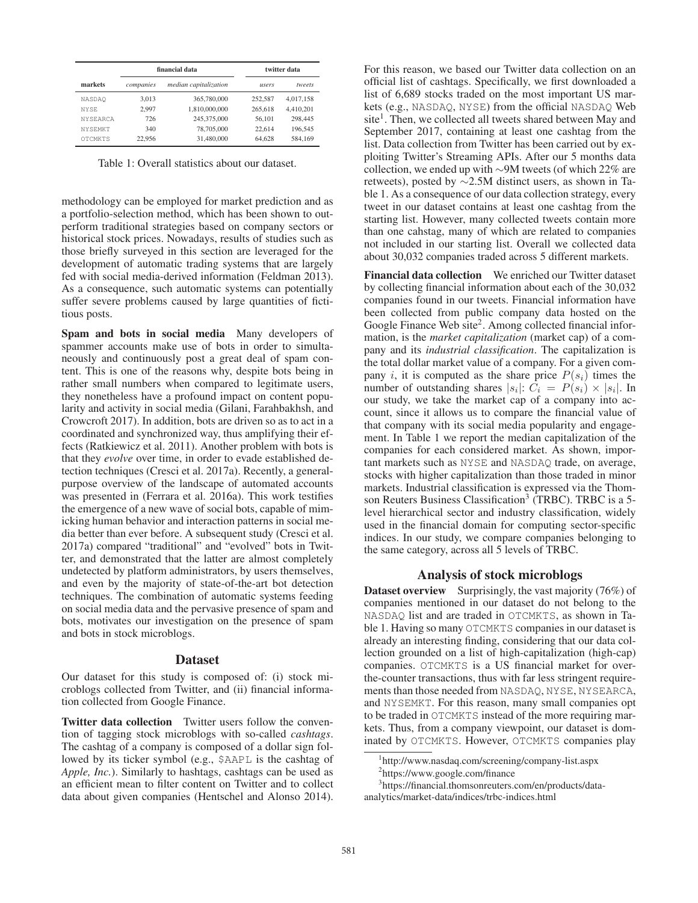| markets         | financial data |                       | twitter data |           |
|-----------------|----------------|-----------------------|--------------|-----------|
|                 | companies      | median capitalization | users        | tweets    |
| <b>NASDAO</b>   | 3.013          | 365,780,000           | 252,587      | 4,017,158 |
| <b>NYSE</b>     | 2.997          | 1.810.000.000         | 265,618      | 4.410.201 |
| <b>NYSEARCA</b> | 726            | 245,375,000           | 56.101       | 298,445   |
| <b>NYSEMKT</b>  | 340            | 78,705,000            | 22.614       | 196,545   |
| <b>OTCMKTS</b>  | 22,956         | 31,480,000            | 64.628       | 584.169   |

Table 1: Overall statistics about our dataset.

methodology can be employed for market prediction and as a portfolio-selection method, which has been shown to outperform traditional strategies based on company sectors or historical stock prices. Nowadays, results of studies such as those briefly surveyed in this section are leveraged for the development of automatic trading systems that are largely fed with social media-derived information (Feldman 2013). As a consequence, such automatic systems can potentially suffer severe problems caused by large quantities of fictitious posts.

Spam and bots in social media Many developers of spammer accounts make use of bots in order to simultaneously and continuously post a great deal of spam content. This is one of the reasons why, despite bots being in rather small numbers when compared to legitimate users, they nonetheless have a profound impact on content popularity and activity in social media (Gilani, Farahbakhsh, and Crowcroft 2017). In addition, bots are driven so as to act in a coordinated and synchronized way, thus amplifying their effects (Ratkiewicz et al. 2011). Another problem with bots is that they *evolve* over time, in order to evade established detection techniques (Cresci et al. 2017a). Recently, a generalpurpose overview of the landscape of automated accounts was presented in (Ferrara et al. 2016a). This work testifies the emergence of a new wave of social bots, capable of mimicking human behavior and interaction patterns in social media better than ever before. A subsequent study (Cresci et al. 2017a) compared "traditional" and "evolved" bots in Twitter, and demonstrated that the latter are almost completely undetected by platform administrators, by users themselves, and even by the majority of state-of-the-art bot detection techniques. The combination of automatic systems feeding on social media data and the pervasive presence of spam and bots, motivates our investigation on the presence of spam and bots in stock microblogs.

#### Dataset

Our dataset for this study is composed of: (i) stock microblogs collected from Twitter, and (ii) financial information collected from Google Finance.

Twitter data collection Twitter users follow the convention of tagging stock microblogs with so-called *cashtags*. The cashtag of a company is composed of a dollar sign followed by its ticker symbol (e.g., \$AAPL is the cashtag of *Apple, Inc.*). Similarly to hashtags, cashtags can be used as an efficient mean to filter content on Twitter and to collect data about given companies (Hentschel and Alonso 2014).

For this reason, we based our Twitter data collection on an official list of cashtags. Specifically, we first downloaded a list of 6,689 stocks traded on the most important US markets (e.g., NASDAQ, NYSE) from the official NASDAQ Web site<sup>1</sup>. Then, we collected all tweets shared between May and September 2017, containing at least one cashtag from the list. Data collection from Twitter has been carried out by exploiting Twitter's Streaming APIs. After our 5 months data collection, we ended up with ∼9M tweets (of which 22% are retweets), posted by ∼2.5M distinct users, as shown in Table 1. As a consequence of our data collection strategy, every tweet in our dataset contains at least one cashtag from the starting list. However, many collected tweets contain more than one cahstag, many of which are related to companies not included in our starting list. Overall we collected data about 30,032 companies traded across 5 different markets.

Financial data collection We enriched our Twitter dataset by collecting financial information about each of the 30,032 companies found in our tweets. Financial information have been collected from public company data hosted on the Google Finance Web site<sup>2</sup>. Among collected financial information, is the *market capitalization* (market cap) of a company and its *industrial classification*. The capitalization is the total dollar market value of a company. For a given company i, it is computed as the share price  $P(s_i)$  times the number of outstanding shares  $|s_i|: C_i = P(s_i) \times |s_i|$ . In our study, we take the market cap of a company into account, since it allows us to compare the financial value of that company with its social media popularity and engagement. In Table 1 we report the median capitalization of the companies for each considered market. As shown, important markets such as NYSE and NASDAQ trade, on average, stocks with higher capitalization than those traded in minor markets. Industrial classification is expressed via the Thomson Reuters Business Classification<sup>3</sup> (TRBC). TRBC is a 5level hierarchical sector and industry classification, widely used in the financial domain for computing sector-specific indices. In our study, we compare companies belonging to the same category, across all 5 levels of TRBC.

## Analysis of stock microblogs

Dataset overview Surprisingly, the vast majority (76%) of companies mentioned in our dataset do not belong to the NASDAQ list and are traded in OTCMKTS, as shown in Table 1. Having so many OTCMKTS companies in our dataset is already an interesting finding, considering that our data collection grounded on a list of high-capitalization (high-cap) companies. OTCMKTS is a US financial market for overthe-counter transactions, thus with far less stringent requirements than those needed from NASDAQ, NYSE, NYSEARCA, and NYSEMKT. For this reason, many small companies opt to be traded in OTCMKTS instead of the more requiring markets. Thus, from a company viewpoint, our dataset is dominated by OTCMKTS. However, OTCMKTS companies play

<sup>1</sup> http://www.nasdaq.com/screening/company-list.aspx

<sup>2</sup> https://www.google.com/finance

<sup>3</sup> https://financial.thomsonreuters.com/en/products/dataanalytics/market-data/indices/trbc-indices.html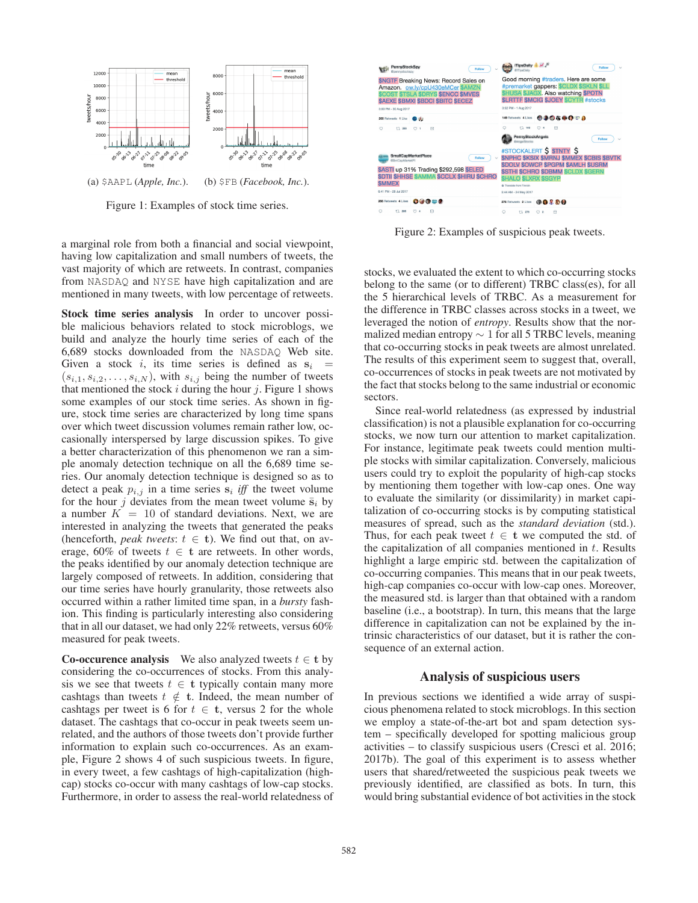

Figure 1: Examples of stock time series.

a marginal role from both a financial and social viewpoint, having low capitalization and small numbers of tweets, the vast majority of which are retweets. In contrast, companies from NASDAQ and NYSE have high capitalization and are mentioned in many tweets, with low percentage of retweets.

Stock time series analysis In order to uncover possible malicious behaviors related to stock microblogs, we build and analyze the hourly time series of each of the 6,689 stocks downloaded from the NASDAQ Web site. Given a stock i, its time series is defined as  $s_i$  =  $(s_{i,1}, s_{i,2}, \ldots, s_{i,N})$ , with  $s_{i,j}$  being the number of tweets that mentioned the stock  $i$  during the hour  $j$ . Figure 1 shows some examples of our stock time series. As shown in figure, stock time series are characterized by long time spans over which tweet discussion volumes remain rather low, occasionally interspersed by large discussion spikes. To give a better characterization of this phenomenon we ran a simple anomaly detection technique on all the 6,689 time series. Our anomaly detection technique is designed so as to detect a peak  $p_{i,j}$  in a time series  $s_i$  *iff* the tweet volume for the hour j deviates from the mean tweet volume  $\bar{\mathbf{s}}_i$  by a number  $K = 10$  of standard deviations. Next, we are interested in analyzing the tweets that generated the peaks (henceforth, *peak tweets*:  $t \in \mathbf{t}$ ). We find out that, on average, 60% of tweets  $t \in \mathbf{t}$  are retweets. In other words, the peaks identified by our anomaly detection technique are largely composed of retweets. In addition, considering that our time series have hourly granularity, those retweets also occurred within a rather limited time span, in a *bursty* fashion. This finding is particularly interesting also considering that in all our dataset, we had only 22% retweets, versus 60% measured for peak tweets.

Co-occurence analysis We also analyzed tweets  $t \in$  **t** by considering the co-occurrences of stocks. From this analysis we see that tweets  $t \in$  **t** typically contain many more cashtags than tweets  $t \notin t$ . Indeed, the mean number of cashtags per tweet is 6 for  $t \in \mathbf{t}$ , versus 2 for the whole dataset. The cashtags that co-occur in peak tweets seem unrelated, and the authors of those tweets don't provide further information to explain such co-occurrences. As an example, Figure 2 shows 4 of such suspicious tweets. In figure, in every tweet, a few cashtags of high-capitalization (highcap) stocks co-occur with many cashtags of low-cap stocks. Furthermore, in order to assess the real-world relatedness of



Figure 2: Examples of suspicious peak tweets.

stocks, we evaluated the extent to which co-occurring stocks belong to the same (or to different) TRBC class(es), for all the 5 hierarchical levels of TRBC. As a measurement for the difference in TRBC classes across stocks in a tweet, we leveraged the notion of *entropy*. Results show that the normalized median entropy  $\sim$  1 for all 5 TRBC levels, meaning that co-occurring stocks in peak tweets are almost unrelated. The results of this experiment seem to suggest that, overall, co-occurrences of stocks in peak tweets are not motivated by the fact that stocks belong to the same industrial or economic sectors.

Since real-world relatedness (as expressed by industrial classification) is not a plausible explanation for co-occurring stocks, we now turn our attention to market capitalization. For instance, legitimate peak tweets could mention multiple stocks with similar capitalization. Conversely, malicious users could try to exploit the popularity of high-cap stocks by mentioning them together with low-cap ones. One way to evaluate the similarity (or dissimilarity) in market capitalization of co-occurring stocks is by computing statistical measures of spread, such as the *standard deviation* (std.). Thus, for each peak tweet  $t \in \mathbf{t}$  we computed the std. of the capitalization of all companies mentioned in  $t$ . Results highlight a large empiric std. between the capitalization of co-occurring companies. This means that in our peak tweets, high-cap companies co-occur with low-cap ones. Moreover, the measured std. is larger than that obtained with a random baseline (i.e., a bootstrap). In turn, this means that the large difference in capitalization can not be explained by the intrinsic characteristics of our dataset, but it is rather the consequence of an external action.

#### Analysis of suspicious users

In previous sections we identified a wide array of suspicious phenomena related to stock microblogs. In this section we employ a state-of-the-art bot and spam detection system – specifically developed for spotting malicious group activities – to classify suspicious users (Cresci et al. 2016; 2017b). The goal of this experiment is to assess whether users that shared/retweeted the suspicious peak tweets we previously identified, are classified as bots. In turn, this would bring substantial evidence of bot activities in the stock